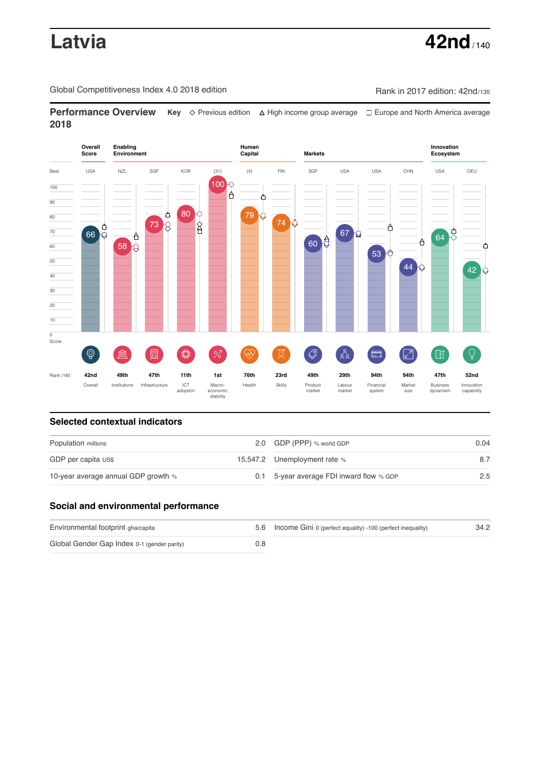**Latvia 42nd** 

Global Competitiveness Index 4.0 2018 edition Rank in 2017 edition: 42nd/135

**Performance Overview** Key  $\Diamond$  Previous edition ∆ High income group average  $\Box$  Europe and North America average **2018**



## **Selected contextual indicators**

| Population millions                 | 2.0 GDP (PPP) % world GDP                | 0.04             |  |
|-------------------------------------|------------------------------------------|------------------|--|
| GDP per capita US\$                 | 15,547.2 Unemployment rate %             | 8.7              |  |
| 10-year average annual GDP growth % | 0.1 5-year average FDI inward flow % GDP | $2.5\phantom{0}$ |  |

# **Social and environmental performance**

| Environmental footprint gha/capita          |     | 5.6 Income Gini 0 (perfect equality) -100 (perfect inequality) | 34.2 |
|---------------------------------------------|-----|----------------------------------------------------------------|------|
| Global Gender Gap Index 0-1 (gender parity) | 0.8 |                                                                |      |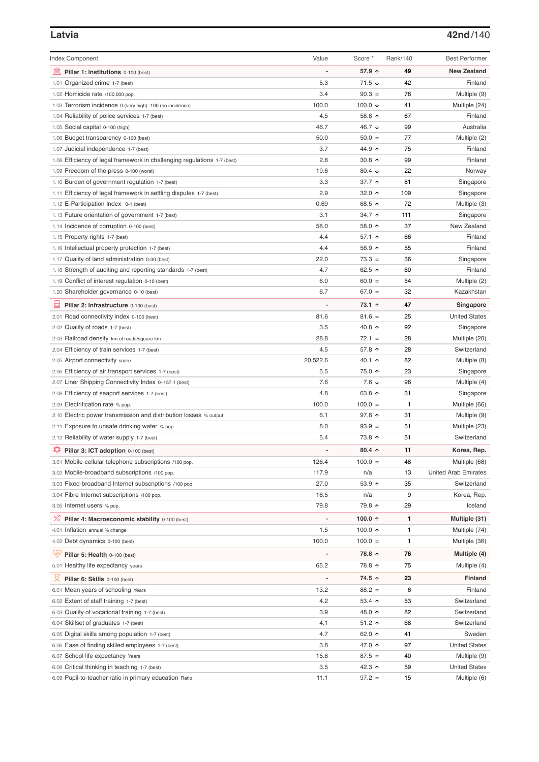## **Latvia 42nd**/140

| <b>Index Component</b>                                                   | Value          | Score *                  | Rank/140     | <b>Best Performer</b>       |
|--------------------------------------------------------------------------|----------------|--------------------------|--------------|-----------------------------|
| 寙<br>Pillar 1: Institutions 0-100 (best)                                 |                | 57.9 ↑                   | 49           | <b>New Zealand</b>          |
| 1.01 Organized crime 1-7 (best)                                          | 5.3            | $71.5 \; \downarrow$     | 42           | Finland                     |
| 1.02 Homicide rate /100,000 pop.                                         | 3.4            | $90.3 =$                 | 78           | Multiple (9)                |
| 1.03 Terrorism incidence 0 (very high) -100 (no incidence)               | 100.0          | 100.0 $\downarrow$       | 41           | Multiple (24)               |
| 1.04 Reliability of police services 1-7 (best)                           | 4.5            | 58.8 $\uparrow$          | 67           | Finland                     |
| 1.05 Social capital 0-100 (high)                                         | 46.7           | 46.7 ↓                   | 99           | Australia                   |
| 1.06 Budget transparency 0-100 (best)                                    | 50.0           | $50.0 =$                 | 77           | Multiple (2)                |
| 1.07 Judicial independence 1-7 (best)                                    | 3.7            | 44.9 ↑                   | 75           | Finland                     |
| 1.08 Efficiency of legal framework in challenging regulations 1-7 (best) | 2.8            | 30.8 $\uparrow$          | 99           | Finland                     |
| 1.09 Freedom of the press 0-100 (worst)                                  | 19.6           | 80.4 $\sqrt{ }$          | 22           | Norway                      |
| 1.10 Burden of government regulation 1-7 (best)                          | 3.3            | 37.7 ↑                   | 81           | Singapore                   |
| 1.11 Efficiency of legal framework in settling disputes 1-7 (best)       | 2.9            | 32.0 $\uparrow$          | 109          | Singapore                   |
| 1.12 E-Participation Index 0-1 (best)                                    | 0.69           | 68.5 ↑                   | 72           | Multiple (3)                |
| 1.13 Future orientation of government 1-7 (best)                         | 3.1            | 34.7 ↑                   | 111          | Singapore                   |
| 1.14 Incidence of corruption 0-100 (best)                                | 58.0           | 58.0 ↑                   | 37           | New Zealand                 |
| 1.15 Property rights 1-7 (best)                                          | 4.4            | 57.1 $\uparrow$          | 66           | Finland                     |
| 1.16 Intellectual property protection 1-7 (best)                         | 4.4            | 56.9 ↑                   | 55           | Finland                     |
| 1.17 Quality of land administration 0-30 (best)                          | 22.0           | $73.3 =$                 | 36           | Singapore                   |
| 1.18 Strength of auditing and reporting standards 1-7 (best)             | 4.7            | 62.5 $\uparrow$          | 60           | Finland                     |
| 1.19 Conflict of interest regulation 0-10 (best)                         | 6.0            | $60.0 =$                 | 54           | Multiple (2)                |
| 1.20 Shareholder governance 0-10 (best)                                  | 6.7            | $67.0 =$                 | 32           | Kazakhstan                  |
|                                                                          |                |                          |              |                             |
| 曼<br>Pillar 2: Infrastructure 0-100 (best)                               |                | 73.1 ↑                   | 47           | Singapore                   |
| 2.01 Road connectivity index 0-100 (best)                                | 81.6           | $81.6 =$                 | 25           | <b>United States</b>        |
| 2.02 Quality of roads 1-7 (best)                                         | 3.5            | 40.8 ↑                   | 92           | Singapore                   |
| 2.03 Railroad density km of roads/square km                              | 28.8           | $72.1 =$                 | 28           | Multiple (20)               |
| 2.04 Efficiency of train services 1-7 (best)                             | 4.5            | 57.8 ↑                   | 28           | Switzerland                 |
| 2.05 Airport connectivity score                                          | 20,522.6       | 40.1 ↑                   | 82           | Multiple (8)                |
| 2.06 Efficiency of air transport services 1-7 (best)                     | 5.5            | 75.0 ↑                   | 23           | Singapore                   |
| 2.07 Liner Shipping Connectivity Index 0-157.1 (best)                    | 7.6            | $7.6\downarrow$          | 96           | Multiple (4)                |
| 2.08 Efficiency of seaport services 1-7 (best)                           | 4.8            | 63.8 ↑                   | 31           | Singapore                   |
| 2.09 Electrification rate % pop.                                         | 100.0          | $100.0 =$                | $\mathbf{1}$ | Multiple (66)               |
| 2.10 Electric power transmission and distribution losses % output        | 6.1            | 97.8 ↑                   | 31           | Multiple (9)                |
| 2.11 Exposure to unsafe drinking water % pop.                            | 8.0            | $93.9 =$                 | 51           | Multiple (23)               |
| 2.12 Reliability of water supply 1-7 (best)                              | 5.4            | 73.8 ↑                   | 51           | Switzerland                 |
| ₽<br>Pillar 3: ICT adoption 0-100 (best)                                 |                | $80.4 \text{ } \uparrow$ | 11           | Korea, Rep.                 |
| 3.01 Mobile-cellular telephone subscriptions /100 pop.                   | 126.4          | $100.0 =$                | 48           | Multiple (68)               |
| 3.02 Mobile-broadband subscriptions /100 pop.                            | 117.9          | n/a                      | 13           | <b>United Arab Emirates</b> |
| 3.03 Fixed-broadband Internet subscriptions /100 pop.                    | 27.0           | 53.9 ↑                   | 35           | Switzerland                 |
| 3.04 Fibre Internet subscriptions /100 pop.                              | 16.5           | n/a                      | 9            | Korea, Rep.                 |
| 3.05 Internet users % pop.                                               | 79.8           | 79.8 ↑                   | 29           | Iceland                     |
| <sup>%</sup> Pillar 4: Macroeconomic stability 0-100 (best)              | $\overline{a}$ | 100.0 个                  | 1            | Multiple (31)               |
| 4.01 Inflation annual % change                                           | 1.5            | 100.0 $\uparrow$         | 1            | Multiple (74)               |
| 4.02 Debt dynamics 0-100 (best)                                          | 100.0          | $100.0 =$                | 1            | Multiple (36)               |
|                                                                          |                |                          |              |                             |
| Qÿ<br>Pillar 5: Health 0-100 (best)                                      |                | 78.8 ↑                   | 76           | Multiple (4)                |
| 5.01 Healthy life expectancy years                                       | 65.2           | 78.8 ↑                   | 75           | Multiple (4)                |
| 성<br>Pillar 6: Skills 0-100 (best)                                       |                | 74.5 ↑                   | 23           | <b>Finland</b>              |
| 6.01 Mean years of schooling Years                                       | 13.2           | $88.2 =$                 | 6            | Finland                     |
| 6.02 Extent of staff training 1-7 (best)                                 | 4.2            | 53.4 $\uparrow$          | 53           | Switzerland                 |
| 6.03 Quality of vocational training 1-7 (best)                           | 3.9            | 48.0 ↑                   | 82           | Switzerland                 |
| 6.04 Skillset of graduates 1-7 (best)                                    | 4.1            | $51.2$ ↑                 | 68           | Switzerland                 |
| 6.05 Digital skills among population 1-7 (best)                          | 4.7            | 62.0 $\uparrow$          | 41           | Sweden                      |
| 6.06 Ease of finding skilled employees 1-7 (best)                        | 3.8            | 47.0 ↑                   | 97           | <b>United States</b>        |
| 6.07 School life expectancy Years                                        | 15.8           | $87.5 =$                 | 40           | Multiple (9)                |
| 6.08 Critical thinking in teaching 1-7 (best)                            | 3.5            | 42.3 $\uparrow$          | 59           | <b>United States</b>        |
| 6.09 Pupil-to-teacher ratio in primary education Ratio                   | 11.1           | $97.2 =$                 | 15           | Multiple (6)                |